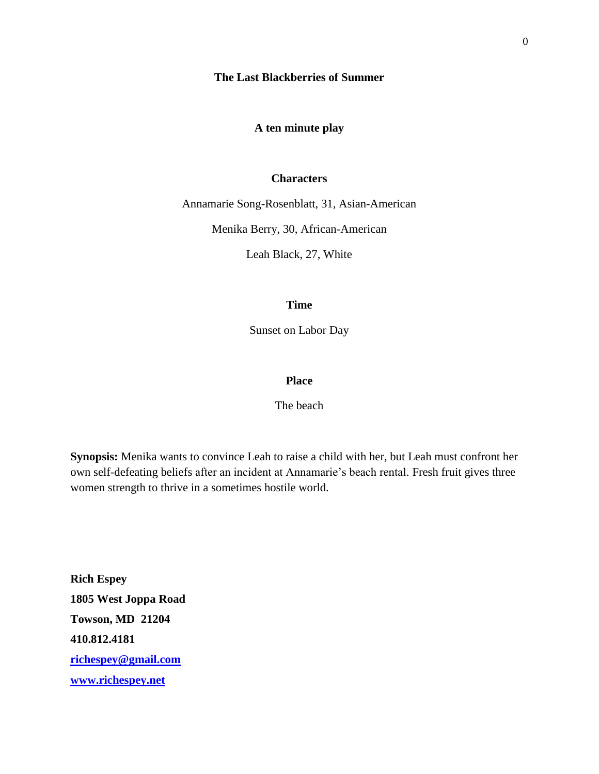**The Last Blackberries of Summer**

**A ten minute play**

#### **Characters**

Annamarie Song-Rosenblatt, 31, Asian-American

Menika Berry, 30, African-American

Leah Black, 27, White

#### **Time**

Sunset on Labor Day

#### **Place**

The beach

**Synopsis:** Menika wants to convince Leah to raise a child with her, but Leah must confront her own self-defeating beliefs after an incident at Annamarie's beach rental. Fresh fruit gives three women strength to thrive in a sometimes hostile world.

**Rich Espey 1805 West Joppa Road Towson, MD 21204 410.812.4181 [richespey@gmail.com](mailto:richespey@gmail.com) [www.richespey.net](http://www.richespey.net/)**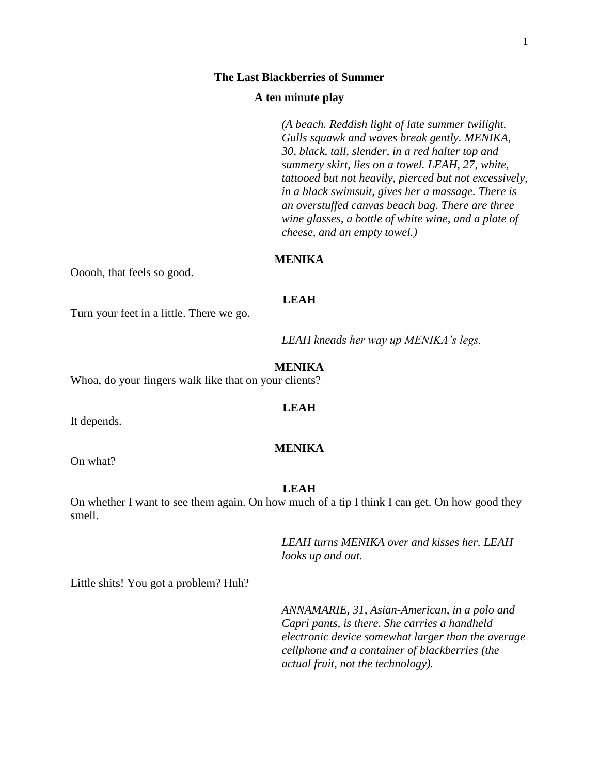#### **The Last Blackberries of Summer**

#### **A ten minute play**

*(A beach. Reddish light of late summer twilight. Gulls squawk and waves break gently. MENIKA, 30, black, tall, slender, in a red halter top and summery skirt, lies on a towel. LEAH, 27, white, tattooed but not heavily, pierced but not excessively, in a black swimsuit, gives her a massage. There is an overstuffed canvas beach bag. There are three wine glasses, a bottle of white wine, and a plate of cheese, and an empty towel.)*

# **MENIKA**

Ooooh, that feels so good.

#### **LEAH**

Turn your feet in a little. There we go.

*LEAH kneads her way up MENIKA's legs.*

#### **MENIKA**

Whoa, do your fingers walk like that on your clients?

#### **LEAH**

It depends.

#### **MENIKA**

On what?

#### **LEAH**

On whether I want to see them again. On how much of a tip I think I can get. On how good they smell.

> *LEAH turns MENIKA over and kisses her. LEAH looks up and out.*

Little shits! You got a problem? Huh?

*ANNAMARIE, 31, Asian-American, in a polo and Capri pants, is there. She carries a handheld electronic device somewhat larger than the average cellphone and a container of blackberries (the actual fruit, not the technology).*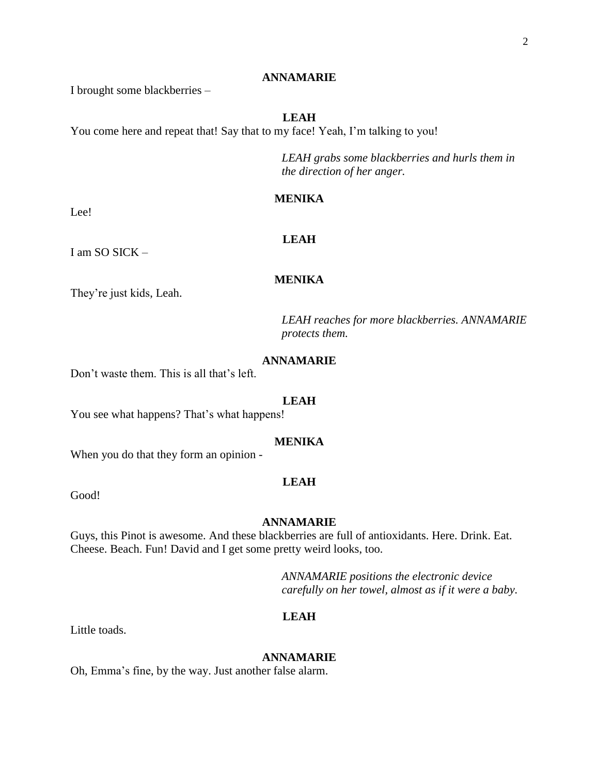#### **ANNAMARIE**

I brought some blackberries –

# **LEAH**

You come here and repeat that! Say that to my face! Yeah, I'm talking to you!

*LEAH grabs some blackberries and hurls them in the direction of her anger.*

### **MENIKA**

**LEAH**

**MENIKA**

Lee!

I am SO SICK –

They're just kids, Leah.

*LEAH reaches for more blackberries. ANNAMARIE protects them.*

# **ANNAMARIE**

Don't waste them. This is all that's left.

#### **LEAH**

You see what happens? That's what happens!

# **MENIKA**

When you do that they form an opinion -

#### **LEAH**

Good!

#### **ANNAMARIE**

Guys, this Pinot is awesome. And these blackberries are full of antioxidants. Here. Drink. Eat. Cheese. Beach. Fun! David and I get some pretty weird looks, too.

> *ANNAMARIE positions the electronic device carefully on her towel, almost as if it were a baby.*

## **LEAH**

Little toads.

#### **ANNAMARIE**

Oh, Emma's fine, by the way. Just another false alarm.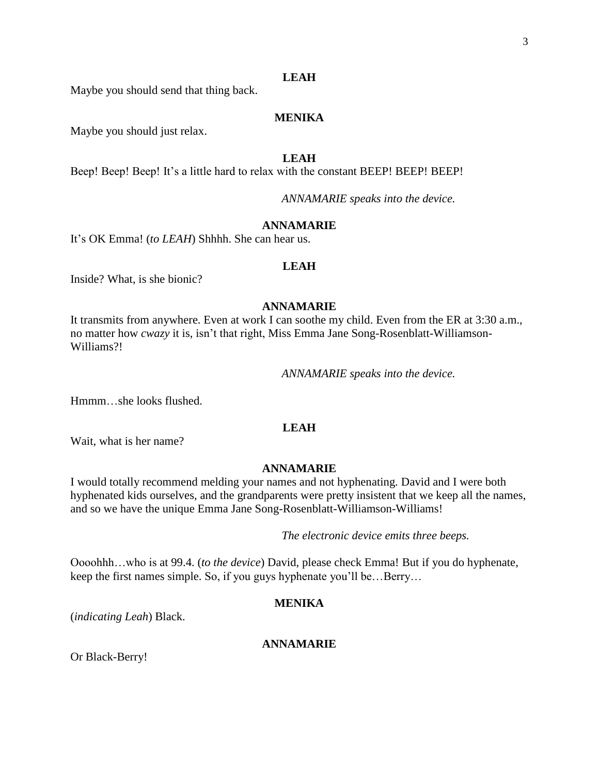# **LEAH**

Maybe you should send that thing back.

# **MENIKA**

Maybe you should just relax.

# **LEAH**

Beep! Beep! Beep! It's a little hard to relax with the constant BEEP! BEEP! BEEP!

*ANNAMARIE speaks into the device.*

# **ANNAMARIE**

It's OK Emma! (*to LEAH*) Shhhh. She can hear us.

#### **LEAH**

Inside? What, is she bionic?

# **ANNAMARIE**

It transmits from anywhere. Even at work I can soothe my child. Even from the ER at 3:30 a.m., no matter how *cwazy* it is, isn't that right, Miss Emma Jane Song-Rosenblatt-Williamson-Williams?!

*ANNAMARIE speaks into the device.*

Hmmm…she looks flushed.

# **LEAH**

Wait, what is her name?

# **ANNAMARIE**

I would totally recommend melding your names and not hyphenating. David and I were both hyphenated kids ourselves, and the grandparents were pretty insistent that we keep all the names, and so we have the unique Emma Jane Song-Rosenblatt-Williamson-Williams!

*The electronic device emits three beeps.* 

Oooohhh…who is at 99.4. (*to the device*) David, please check Emma! But if you do hyphenate, keep the first names simple. So, if you guys hyphenate you'll be…Berry…

# **MENIKA**

(*indicating Leah*) Black.

# **ANNAMARIE**

Or Black-Berry!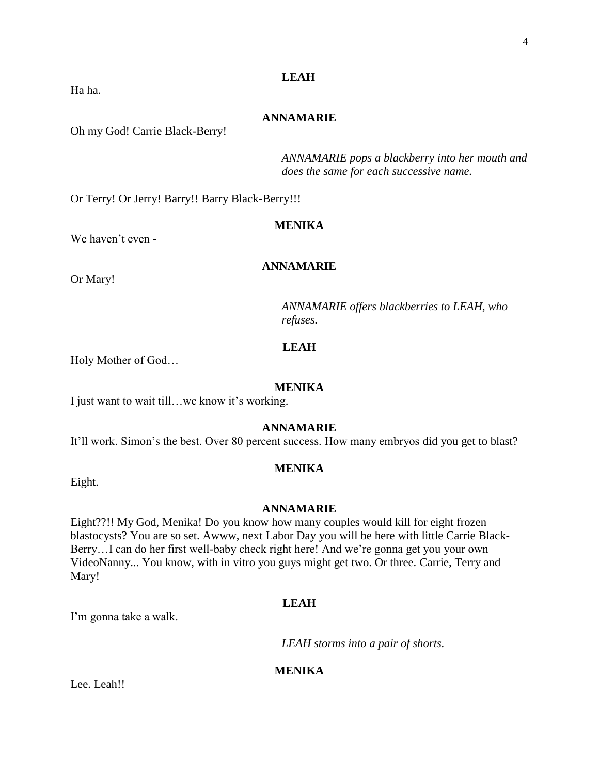# **LEAH**

# **ANNAMARIE**

Oh my God! Carrie Black-Berry!

*ANNAMARIE pops a blackberry into her mouth and does the same for each successive name.*

Or Terry! Or Jerry! Barry!! Barry Black-Berry!!!

# **MENIKA**

We haven't even -

# **ANNAMARIE**

Or Mary!

Ha ha.

*ANNAMARIE offers blackberries to LEAH, who refuses.*

# **LEAH**

Holy Mother of God…

## **MENIKA**

I just want to wait till…we know it's working.

#### **ANNAMARIE**

It'll work. Simon's the best. Over 80 percent success. How many embryos did you get to blast?

# **MENIKA**

Eight.

#### **ANNAMARIE**

Eight??!! My God, Menika! Do you know how many couples would kill for eight frozen blastocysts? You are so set. Awww, next Labor Day you will be here with little Carrie Black-Berry…I can do her first well-baby check right here! And we're gonna get you your own VideoNanny... You know, with in vitro you guys might get two. Or three. Carrie, Terry and Mary!

# **LEAH**

I'm gonna take a walk.

*LEAH storms into a pair of shorts.*

#### **MENIKA**

Lee. Leah!!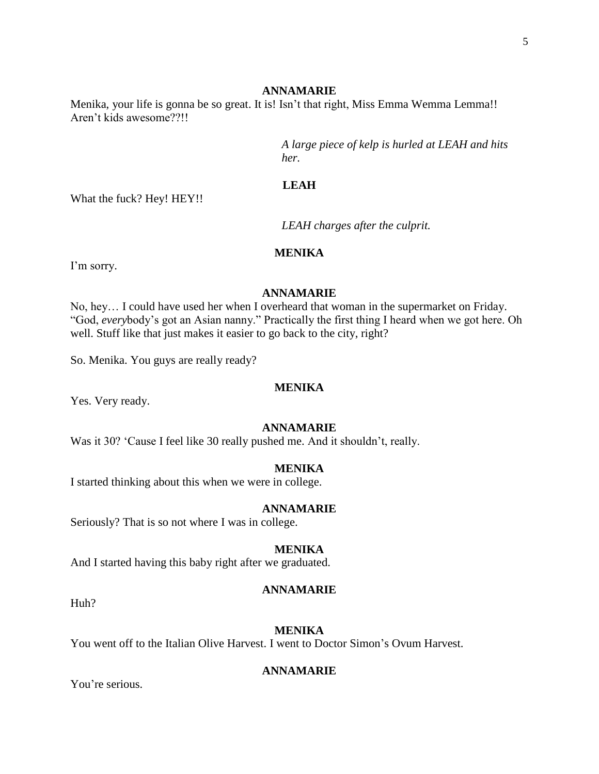#### **ANNAMARIE**

Menika, your life is gonna be so great. It is! Isn't that right, Miss Emma Wemma Lemma!! Aren't kids awesome??!!

> *A large piece of kelp is hurled at LEAH and hits her.*

# **LEAH**

What the fuck? Hey! HEY!!

*LEAH charges after the culprit.*

# **MENIKA**

I'm sorry.

# **ANNAMARIE**

No, hey… I could have used her when I overheard that woman in the supermarket on Friday. "God, *every*body's got an Asian nanny." Practically the first thing I heard when we got here. Oh well. Stuff like that just makes it easier to go back to the city, right?

So. Menika. You guys are really ready?

# **MENIKA**

Yes. Very ready.

#### **ANNAMARIE**

Was it 30? 'Cause I feel like 30 really pushed me. And it shouldn't, really.

# **MENIKA**

I started thinking about this when we were in college.

#### **ANNAMARIE**

Seriously? That is so not where I was in college.

#### **MENIKA**

And I started having this baby right after we graduated.

#### **ANNAMARIE**

Huh?

# **MENIKA**

You went off to the Italian Olive Harvest. I went to Doctor Simon's Ovum Harvest.

# **ANNAMARIE**

You're serious.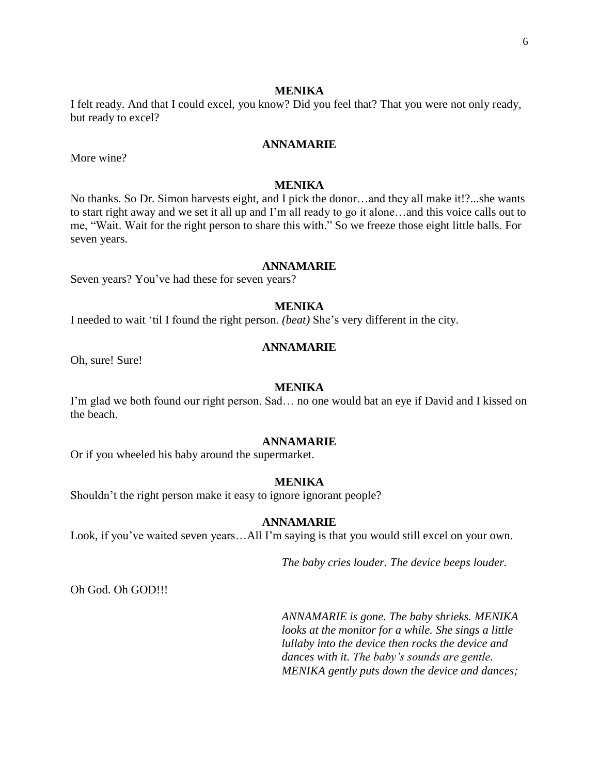#### **MENIKA**

I felt ready. And that I could excel, you know? Did you feel that? That you were not only ready, but ready to excel?

#### **ANNAMARIE**

More wine?

# **MENIKA**

No thanks. So Dr. Simon harvests eight, and I pick the donor…and they all make it!?...she wants to start right away and we set it all up and I'm all ready to go it alone…and this voice calls out to me, "Wait. Wait for the right person to share this with." So we freeze those eight little balls. For seven years.

#### **ANNAMARIE**

Seven years? You've had these for seven years?

#### **MENIKA**

I needed to wait 'til I found the right person. *(beat)* She's very different in the city.

#### **ANNAMARIE**

Oh, sure! Sure!

#### **MENIKA**

I'm glad we both found our right person. Sad… no one would bat an eye if David and I kissed on the beach.

#### **ANNAMARIE**

Or if you wheeled his baby around the supermarket.

#### **MENIKA**

Shouldn't the right person make it easy to ignore ignorant people?

#### **ANNAMARIE**

Look, if you've waited seven years…All I'm saying is that you would still excel on your own.

*The baby cries louder. The device beeps louder.*

Oh God. Oh GOD!!!

*ANNAMARIE is gone. The baby shrieks. MENIKA looks at the monitor for a while. She sings a little lullaby into the device then rocks the device and dances with it. The baby's sounds are gentle. MENIKA gently puts down the device and dances;*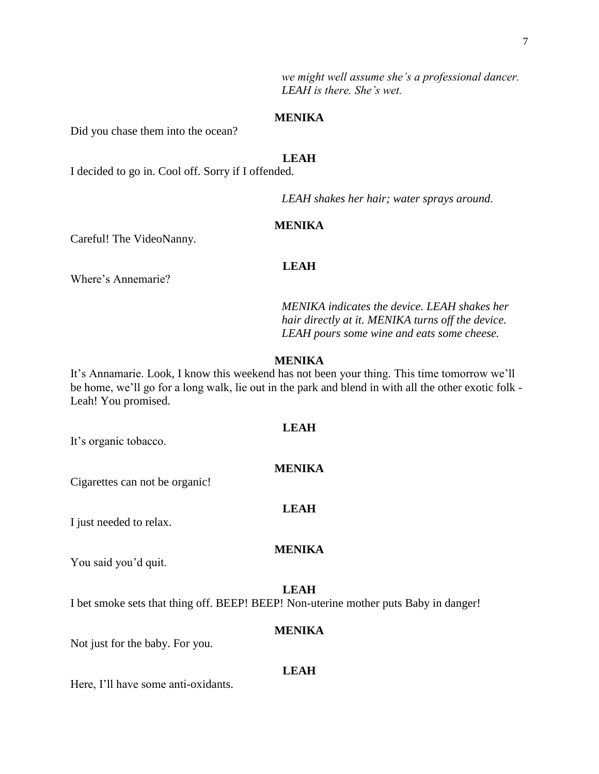*we might well assume she's a professional dancer. LEAH is there. She's wet.*

### **MENIKA**

Did you chase them into the ocean?

# **LEAH**

I decided to go in. Cool off. Sorry if I offended.

*LEAH shakes her hair; water sprays around.*

# **MENIKA**

Careful! The VideoNanny.

#### **LEAH**

Where's Annemarie?

*MENIKA indicates the device. LEAH shakes her hair directly at it. MENIKA turns off the device. LEAH pours some wine and eats some cheese.*

# **MENIKA**

It's Annamarie. Look, I know this weekend has not been your thing. This time tomorrow we'll be home, we'll go for a long walk, lie out in the park and blend in with all the other exotic folk - Leah! You promised.

**LEAH**

**MENIKA**

**LEAH**

# It's organic tobacco.

Cigarettes can not be organic!

I just needed to relax.

# **MENIKA**

You said you'd quit.

#### **LEAH**

I bet smoke sets that thing off. BEEP! BEEP! Non-uterine mother puts Baby in danger!

# **MENIKA**

Not just for the baby. For you.

#### **LEAH**

Here, I'll have some anti-oxidants.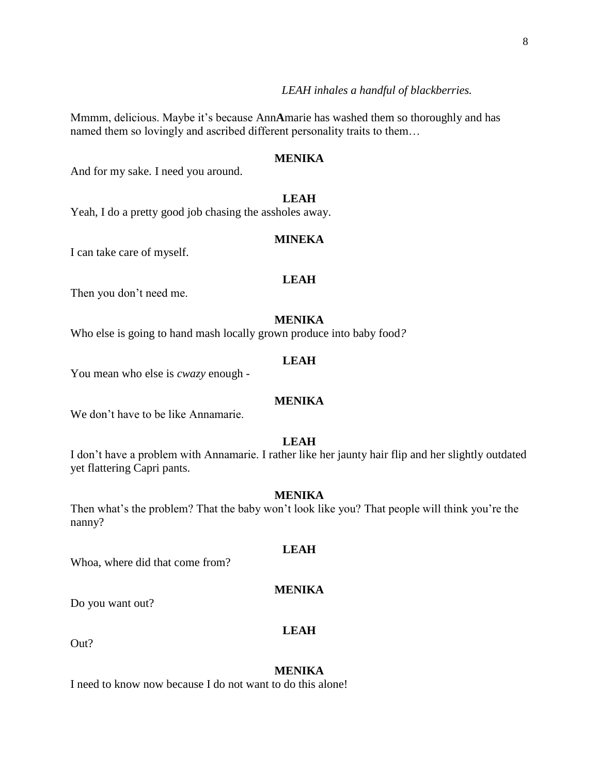Mmmm, delicious. Maybe it's because Ann**A**marie has washed them so thoroughly and has named them so lovingly and ascribed different personality traits to them…

# **MENIKA**

And for my sake. I need you around.

# **LEAH**

Yeah, I do a pretty good job chasing the assholes away.

#### **MINEKA**

I can take care of myself.

# **LEAH**

Then you don't need me.

# **MENIKA**

Who else is going to hand mash locally grown produce into baby food*?*

# **LEAH**

You mean who else is *cwazy* enough -

#### **MENIKA**

We don't have to be like Annamarie.

#### **LEAH**

I don't have a problem with Annamarie. I rather like her jaunty hair flip and her slightly outdated yet flattering Capri pants.

# **MENIKA**

Then what's the problem? That the baby won't look like you? That people will think you're the nanny?

Whoa, where did that come from?

#### **MENIKA**

**LEAH**

Do you want out?

# **LEAH**

Out?

# **MENIKA**

I need to know now because I do not want to do this alone!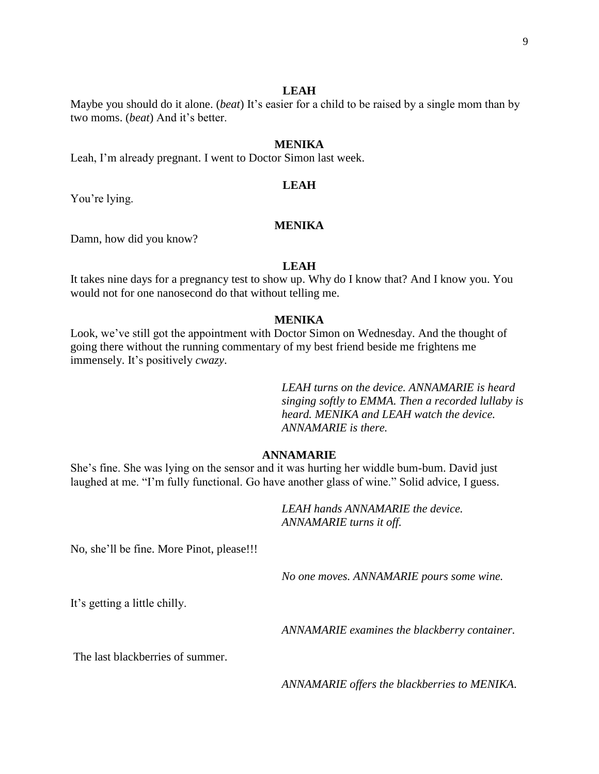### **LEAH**

Maybe you should do it alone. (*beat*) It's easier for a child to be raised by a single mom than by two moms. (*beat*) And it's better.

# **MENIKA**

Leah, I'm already pregnant. I went to Doctor Simon last week.

# **LEAH**

You're lying.

# **MENIKA**

Damn, how did you know?

#### **LEAH**

It takes nine days for a pregnancy test to show up. Why do I know that? And I know you. You would not for one nanosecond do that without telling me.

#### **MENIKA**

Look, we've still got the appointment with Doctor Simon on Wednesday. And the thought of going there without the running commentary of my best friend beside me frightens me immensely. It's positively *cwazy*.

> *LEAH turns on the device. ANNAMARIE is heard singing softly to EMMA. Then a recorded lullaby is heard. MENIKA and LEAH watch the device. ANNAMARIE is there.*

#### **ANNAMARIE**

She's fine. She was lying on the sensor and it was hurting her widdle bum-bum. David just laughed at me. "I'm fully functional. Go have another glass of wine." Solid advice, I guess.

> *LEAH hands ANNAMARIE the device. ANNAMARIE turns it off.*

No, she'll be fine. More Pinot, please!!!

*No one moves. ANNAMARIE pours some wine.*

It's getting a little chilly.

*ANNAMARIE examines the blackberry container.*

The last blackberries of summer.

*ANNAMARIE offers the blackberries to MENIKA.*